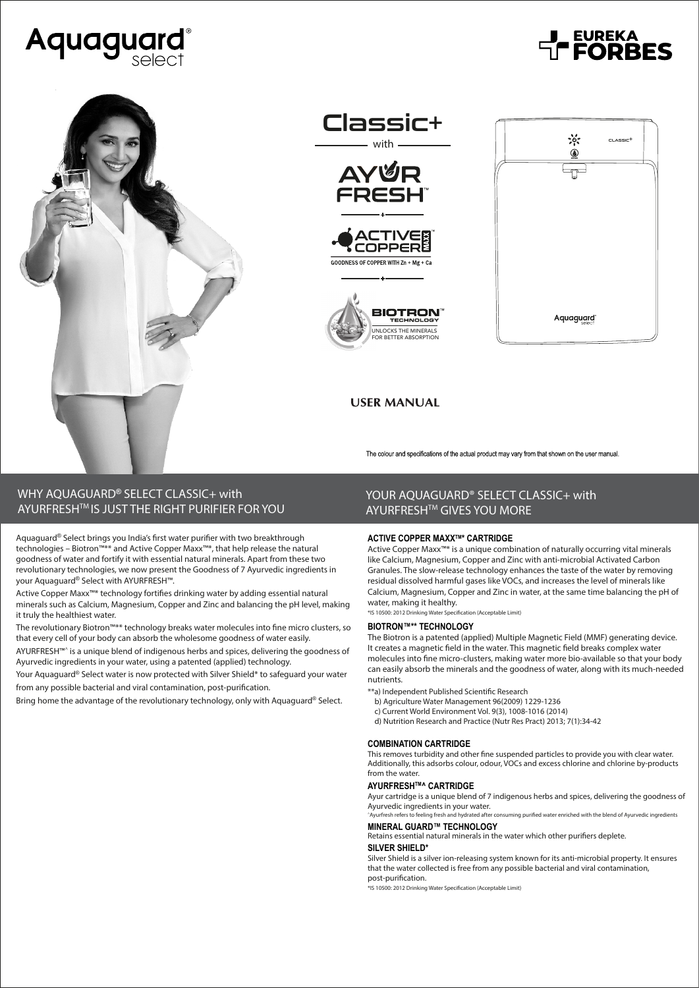











**EUREKA**<br>**FORBES** 

## **USER MANUAL**

The colour and specifications of the actual product may vary from that shown on the user manual.

# **WHY AQUAGUARD® SELECT CLASSIC+ with AYURFRESHTM IS JUST THE RIGHT PURIFIER FOR YOU**

Aquaguard® Select brings you India's first water purifier with two breakthrough technologies – Biotron™\*\* and Active Copper Maxx™\*, that help release the natural goodness of water and fortify it with essential natural minerals. Apart from these two revolutionary technologies, we now present the Goodness of 7 Ayurvedic ingredients in your Aquaguard® Select with AYURFRESH™.

Active Copper Maxx™\* technology fortifies drinking water by adding essential natural minerals such as Calcium, Magnesium, Copper and Zinc and balancing the pH level, making it truly the healthiest water.

The revolutionary Biotron™\*\* technology breaks water molecules into fine micro clusters, so that every cell of your body can absorb the wholesome goodness of water easily.

AYURFRESH™^ is a unique blend of indigenous herbs and spices, delivering the goodness of Ayurvedic ingredients in your water, using a patented (applied) technology.

Your Aquaguard® Select water is now protected with Silver Shield\* to safeguard your water from any possible bacterial and viral contamination, post-purification.

Bring home the advantage of the revolutionary technology, only with Aquaguard® Select.

## **YOUR AQUAGUARD® SELECT CLASSIC+ with AYURFRESHTM GIVES YOU MORE**

### **ACTIVE COPPER MAXXTM\* CARTRIDGE**

Active Copper Maxx™\* is a unique combination of naturally occurring vital minerals like Calcium, Magnesium, Copper and Zinc with anti-microbial Activated Carbon Granules. The slow-release technology enhances the taste of the water by removing residual dissolved harmful gases like VOCs, and increases the level of minerals like Calcium, Magnesium, Copper and Zinc in water, at the same time balancing the pH of water, making it healthy.

\*IS 10500: 2012 Drinking Water Specication (Acceptable Limit)

#### **BIOTRON™\*\* TECHNOLOGY**

The Biotron is a patented (applied) Multiple Magnetic Field (MMF) generating device. It creates a magnetic field in the water. This magnetic field breaks complex water molecules into fine micro-clusters, making water more bio-available so that your body can easily absorb the minerals and the goodness of water, along with its much-needed nutrients.

- \*\*a) Independent Published Scientific Research
- b) Agriculture Water Management 96(2009) 1229-1236
- c) Current World Environment Vol. 9(3), 1008-1016 (2014)
- d) Nutrition Research and Practice (Nutr Res Pract) 2013; 7(1):34-42

#### **COMBINATION CARTRIDGE**

This removes turbidity and other fine suspended particles to provide you with clear water. Additionally, this adsorbs colour, odour, VOCs and excess chlorine and chlorine by-products from the water.

#### **AYURFRESHTM^ CARTRIDGE**

Ayur cartridge is a unique blend of 7 indigenous herbs and spices, delivering the goodness of Ayurvedic ingredients in your water.<br>
^Ayurfresh refers to feeling fresh and hydrated after co

#### ming purified water enriched with the blend of Ayurvedic ingredients **MINERAL GUARD™ TECHNOLOGY**

Retains essential natural minerals in the water which other purifiers deplete.

### **SILVER SHIELD\***

Silver Shield is a silver ion-releasing system known for its anti-microbial property. It ensures that the water collected is free from any possible bacterial and viral contamination, post-purification.

\*IS 10500: 2012 Drinking Water Specification (Acceptable Limit)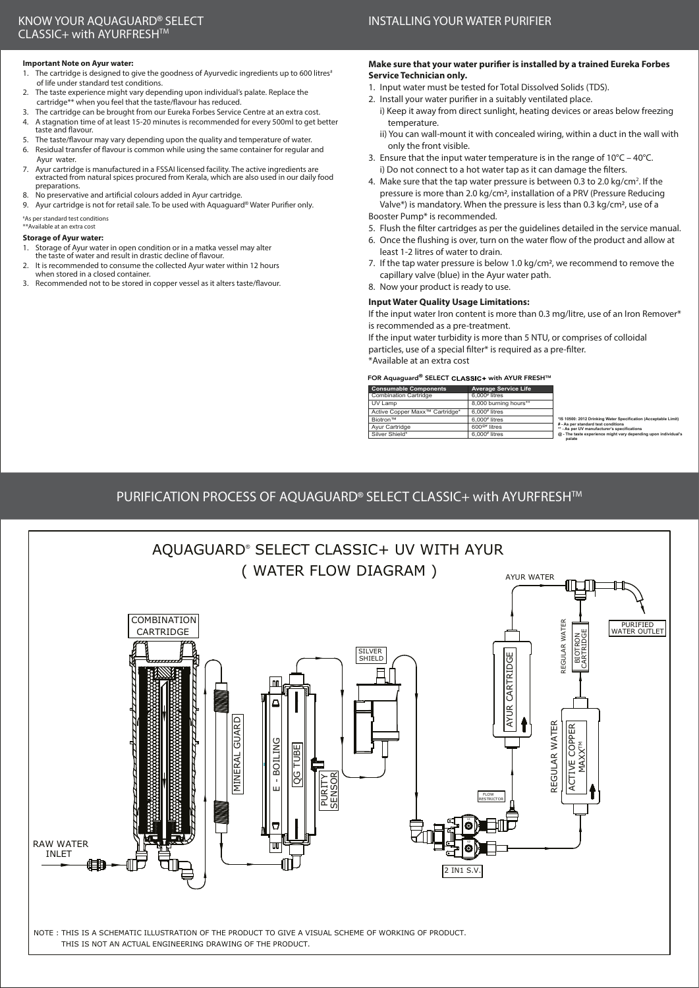## **INSTALLING YOUR WATER PURIFIER**

### **Important Note on Ayur water:**

- <sup>1</sup>. The cartridge is designed to give the goodness of Ayurvedic ingredients up to 600 litres<sup>#</sup> of life under standard test conditions.
- 2. The taste experience might vary depending upon individual's palate. Replace the cartridge\*\* when you feel that the taste/flavour has reduced.<br>3. The cartridge can be brought from our Eureka Forbes Service
- The cartridge can be brought from our Eureka Forbes Service Centre at an extra cost. 4. A stagnation time of at least 15-20 minutes is recommended for every 500ml to get better
- taste and flavour. 5. The taste/flavour may vary depending upon the quality and temperature of water. 6. Residual transfer of flavour is common while using the same container for regular and
- Ayur water.
- 7. Ayur cartridge is manufactured in a FSSAI licensed facility. The active ingredients are extracted from natural spices procured from Kerala, which are also used in our daily food preparations.
- 8. No preservative and artificial colours added in Ayur cartridge.
- 9. Ayur cartridge is not for retail sale. To be used with Aquaguard® Water Purifier only.

# As per standard test conditions \*\*Available at an extra cost

### **Storage of Ayur water:**

- 1. Storage of Ayur water in open condition or in a matka vessel may alter
- the taste of water and result in drastic decline of flavour. 2. It is recommended to consume the collected Ayur water within 12 hours
- when stored in a closed container. 3. Recommended not to be stored in copper vessel as it alters taste/flavour.

### **Make sure that your water purifier is installed by a trained Eureka Forbes Service Technician only.**

- 1. Input water must be tested for Total Dissolved Solids (TDS).
- 2. Install your water purifier in a suitably ventilated place.
	- i) Keep it away from direct sunlight, heating devices or areas below freezing temperature.
	- ii) You can wall-mount it with concealed wiring, within a duct in the wall with only the front visible.
- 3. Ensure that the input water temperature is in the range of 10°C 40°C. i) Do not connect to a hot water tap as it can damage the filters.
- 4. Make sure that the tap water pressure is between 0.3 to 2.0 kg/cm<sup>2</sup>. If the pressure is more than 2.0 kg/cm2, installation of a PRV (Pressure Reducing Valve\*) is mandatory. When the pressure is less than 0.3 kg/cm2, use of a

### Booster Pump\* is recommended.

- 5. Flush the filter cartridges as per the guidelines detailed in the service manual.
- 6. Once the flushing is over, turn on the water flow of the product and allow at least 1-2 litres of water to drain.
- 7. If the tap water pressure is below 1.0 kg/cm2, we recommend to remove the capillary valve (blue) in the Ayur water path.

### 8. Now your product is ready to use.

### **Input Water Quality Usage Limitations:**

If the input water Iron content is more than 0.3 mg/litre, use of an Iron Remover\* is recommended as a pre-treatment.

 **palate**

If the input water turbidity is more than 5 NTU, or comprises of colloidal particles, use of a special filter\* is required as a pre-filter.

\*Available at an extra cost

### FOR Aquaguard® SELECT CLASSIC+ with AYUR FRESH™

| <b>Consumable Components</b>               | <b>Average Service Life</b> |                                                                                     |
|--------------------------------------------|-----------------------------|-------------------------------------------------------------------------------------|
| <b>Combination Cartridge</b>               | $6.000$ <sup>#</sup> litres |                                                                                     |
| UV Lamp                                    | 8.000 burning hours**       |                                                                                     |
| Active Copper Maxx <sup>™</sup> Cartridge* | $6.000*$ litres             |                                                                                     |
| <b>Biotron™</b>                            | $6.000*$ litres             | *IS 10500: 2012 Drinking Water Specification (Acceptable Limit)                     |
| Ayur Cartridge                             | $600^{\circ\circ}$ litres   | # - As per standard test conditions<br>** - As per UV manufacturer's specifications |
| Silver Shield*                             | $6.000*$ litres             | @ - The taste experience might vary depending upon individual's                     |

# **PURIFICATION PROCESS OF AQUAGUARD® SELECT CLASSIC+ with AYURFRESHTM**

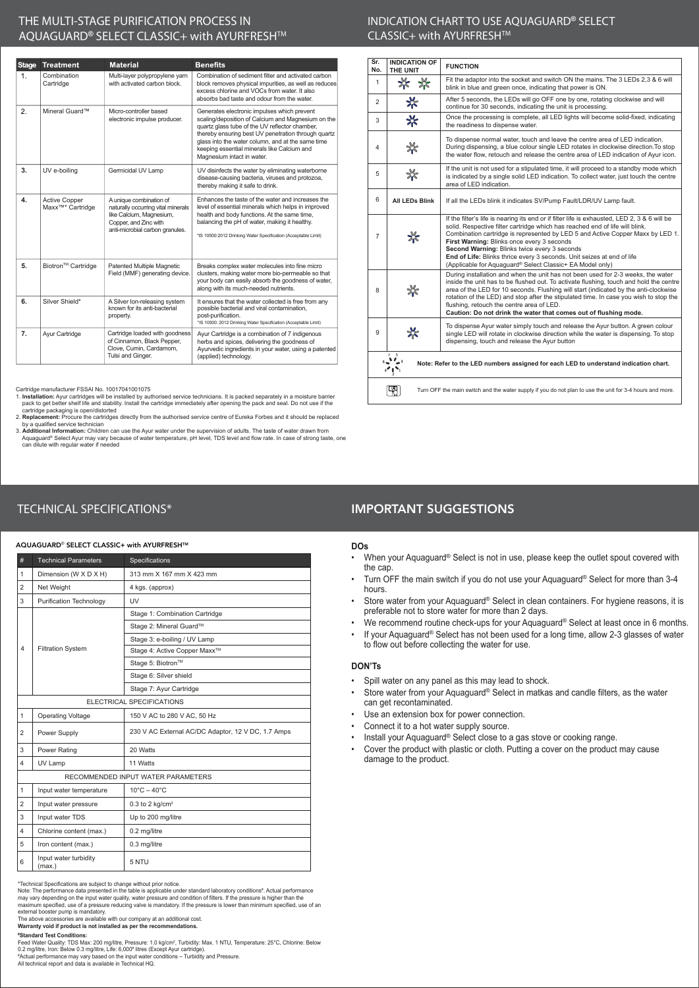## **THE MULTI-STAGE PURIFICATION PROCESS IN AQUAGUARD® SELECT CLASSIC+ with AYURFRESHTM**

| Stage | <b>Treatment</b>                                      | <b>Material</b>                                                                                                                                       | <b>Benefits</b>                                                                                                                                                                                                                                                                                                                              |
|-------|-------------------------------------------------------|-------------------------------------------------------------------------------------------------------------------------------------------------------|----------------------------------------------------------------------------------------------------------------------------------------------------------------------------------------------------------------------------------------------------------------------------------------------------------------------------------------------|
| 1.    | Combination<br>Cartridge                              | Multi-layer polypropylene yarn<br>with activated carbon block.                                                                                        | Combination of sediment filter and activated carbon<br>block removes physical impurities, as well as reduces<br>excess chlorine and VOCs from water. It also<br>absorbs bad taste and odour from the water.                                                                                                                                  |
| 2.    | Mineral Guard™                                        | Micro-controller based<br>electronic impulse producer.                                                                                                | Generates electronic impulses which prevent<br>scaling/deposition of Calcium and Magnesium on the<br>quartz glass tube of the UV reflector chamber,<br>thereby ensuring best UV penetration through quartz<br>glass into the water column, and at the same time<br>keeping essential minerals like Calcium and<br>Magnesium intact in water. |
| 3.    | UV e-boiling                                          | Germicidal UV Lamp                                                                                                                                    | UV disinfects the water by eliminating waterborne<br>disease-causing bacteria, viruses and protozoa,<br>thereby making it safe to drink.                                                                                                                                                                                                     |
| 4.    | <b>Active Copper</b><br>Maxx <sup>™</sup> * Cartridge | A unique combination of<br>naturally occurring vital minerals<br>like Calcium, Magnesium,<br>Copper, and Zinc with<br>anti-microbial carbon granules. | Enhances the taste of the water and increases the<br>level of essential minerals which helps in improved<br>health and body functions. At the same time,<br>balancing the pH of water, making it healthy.<br>*IS 10500:2012 Drinking Water Specification (Acceptable Limit)                                                                  |
| 5.    | Biotron™ Cartridge                                    | Patented Multiple Magnetic<br>Field (MMF) generating device.                                                                                          | Breaks complex water molecules into fine micro<br>clusters, making water more bio-permeable so that<br>your body can easily absorb the goodness of water,<br>along with its much-needed nutrients.                                                                                                                                           |
| 6.    | Silver Shield*                                        | A Silver Ion-releasing system<br>known for its anti-bacterial<br>property.                                                                            | It ensures that the water collected is free from any<br>possible bacterial and viral contamination,<br>post-purification.<br>*IS 10500: 2012 Drinking Water Specification (Acceptable Limit)                                                                                                                                                 |
| 7.    | Ayur Cartridge                                        | Cartridge loaded with goodness<br>of Cinnamon, Black Pepper,<br>Clove, Cumin, Cardamom,<br>Tulsi and Ginger.                                          | Ayur Cartridge is a combination of 7 indigenous<br>herbs and spices, delivering the goodness of<br>Ayurvedic ingredients in your water, using a patented<br>(applied) technology.                                                                                                                                                            |

Cartridge manufacturer FSSAI No. 10017041001075

1. **Installation:** Ayur cartridges will be installed by authorised service technicians. It is packed separately in a moisture barrier<br>pack to get better shelf life and stability. Install the cartridge immediately after ope

cartridge packaging is open/distorted<br>
2. Replacement: Procure the cartridges directly from the authorised service centre of Eureka Forbes and it should be replaced<br>
2. Replacement: Procure the cartridges directly from the

### **INDICATION CHART TO USE AQUAGUARD® SELECT CLASSIC+ with AYURFRESHTM**

| Sr.<br>No.                                                                                                                                                | <b>INDICATION OF</b><br>THE UNIT                                                                         | <b>FUNCTION</b>                                                                                                                                                                                                                                                                                                                                                                                                                                                                                     |  |
|-----------------------------------------------------------------------------------------------------------------------------------------------------------|----------------------------------------------------------------------------------------------------------|-----------------------------------------------------------------------------------------------------------------------------------------------------------------------------------------------------------------------------------------------------------------------------------------------------------------------------------------------------------------------------------------------------------------------------------------------------------------------------------------------------|--|
| $\mathbf{1}$                                                                                                                                              | * *                                                                                                      | Fit the adaptor into the socket and switch ON the mains. The 3 LEDs 2,3 & 6 will<br>blink in blue and green once, indicating that power is ON.                                                                                                                                                                                                                                                                                                                                                      |  |
| 2                                                                                                                                                         | ₩                                                                                                        | After 5 seconds, the LEDs will go OFF one by one, rotating clockwise and will<br>continue for 30 seconds, indicating the unit is processing.                                                                                                                                                                                                                                                                                                                                                        |  |
| 3                                                                                                                                                         | ⋇                                                                                                        | Once the processing is complete, all LED lights will become solid-fixed, indicating<br>the readiness to dispense water.                                                                                                                                                                                                                                                                                                                                                                             |  |
| 4                                                                                                                                                         | ₩                                                                                                        | To dispense normal water, touch and leave the centre area of LED indication.<br>During dispensing, a blue colour single LED rotates in clockwise direction. To stop<br>the water flow, retouch and release the centre area of LED indication of Ayur icon.                                                                                                                                                                                                                                          |  |
| 5                                                                                                                                                         |                                                                                                          | If the unit is not used for a stipulated time, it will proceed to a standby mode which<br>is indicated by a single solid LED indication. To collect water, just touch the centre<br>area of LED indication.                                                                                                                                                                                                                                                                                         |  |
| 6                                                                                                                                                         | All LEDs Blink                                                                                           | If all the LEDs blink it indicates SV/Pump Fault/LDR/UV Lamp fault.                                                                                                                                                                                                                                                                                                                                                                                                                                 |  |
| $\overline{7}$                                                                                                                                            |                                                                                                          | If the filter's life is nearing its end or if filter life is exhausted, LED 2, 3 & 6 will be<br>solid. Respective filter cartridge which has reached end of life will blink.<br>Combination cartridge is represented by LED 5 and Active Copper Maxx by LED 1.<br>First Warning: Blinks once every 3 seconds<br>Second Warning: Blinks twice every 3 seconds<br>End of Life: Blinks thrice every 3 seconds. Unit seizes at end of life<br>(Applicable for Aquaguard® Select Classic+ EA Model only) |  |
| 8                                                                                                                                                         | ⋇                                                                                                        | During installation and when the unit has not been used for 2-3 weeks, the water<br>inside the unit has to be flushed out. To activate flushing, touch and hold the centre<br>area of the LED for 10 seconds. Flushing will start (indicated by the anti-clockwise<br>rotation of the LED) and stop after the stipulated time. In case you wish to stop the<br>flushing, retouch the centre area of LED.<br>Caution: Do not drink the water that comes out of flushing mode.                        |  |
| 9                                                                                                                                                         | ⋇                                                                                                        | To dispense Ayur water simply touch and release the Ayur button. A green colour<br>single LED will rotate in clockwise direction while the water is dispensing. To stop<br>dispensing, touch and release the Ayur button                                                                                                                                                                                                                                                                            |  |
| $\sim$ $\sim$ $\sim$ $\sim$ $\sim$<br>Note: Refer to the LED numbers assigned for each LED to understand indication chart.<br>$4$ $\bullet$ $\bullet$ $1$ |                                                                                                          |                                                                                                                                                                                                                                                                                                                                                                                                                                                                                                     |  |
|                                                                                                                                                           | Turn OFF the main switch and the water supply if you do not plan to use the unit for 3-4 hours and more. |                                                                                                                                                                                                                                                                                                                                                                                                                                                                                                     |  |

# IMPORTANT SUGGESTIONS

#### AQUAGUARD® SELECT CLASSIC+ with AYURFRESH™

**TECHNICAL SPECIFICATIONS\***

| #                         | <b>Technical Parameters</b>        | Specifications                                     |  |
|---------------------------|------------------------------------|----------------------------------------------------|--|
| $\mathbf{1}$              | Dimension (W X D X H)              | 313 mm X 167 mm X 423 mm                           |  |
| $\overline{2}$            | Net Weight                         | 4 kgs. (approx)                                    |  |
| 3                         | <b>Purification Technology</b>     | UV                                                 |  |
|                           |                                    | Stage 1: Combination Cartridge                     |  |
|                           |                                    | Stage 2: Mineral Guard™                            |  |
|                           | <b>Filtration System</b>           | Stage 3: e-boiling / UV Lamp                       |  |
| 4                         |                                    | Stage 4: Active Copper Maxx™                       |  |
|                           |                                    | Stage 5: Biotron™                                  |  |
|                           |                                    | Stage 6: Silver shield                             |  |
|                           |                                    | Stage 7: Ayur Cartridge                            |  |
| ELECTRICAL SPECIFICATIONS |                                    |                                                    |  |
| $\mathbf{1}$              | <b>Operating Voltage</b>           | 150 V AC to 280 V AC, 50 Hz                        |  |
| $\overline{2}$            | Power Supply                       | 230 V AC External AC/DC Adaptor, 12 V DC, 1.7 Amps |  |
| 3                         | Power Rating                       | 20 Watts                                           |  |
| 4                         | UV Lamp                            | 11 Watts                                           |  |
|                           | RECOMMENDED INPUT WATER PARAMETERS |                                                    |  |
| $\mathbf{1}$              | Input water temperature            | $10^{\circ}$ C $- 40^{\circ}$ C                    |  |
| $\overline{2}$            | Input water pressure               | $0.3$ to 2 kg/cm <sup>2</sup>                      |  |
| 3                         | Input water TDS                    | Up to 200 mg/litre                                 |  |
| 4                         | Chlorine content (max.)            | 0.2 mg/litre                                       |  |
| 5                         | Iron content (max.)                | 0.3 mg/litre                                       |  |
| 6                         | Input water turbidity<br>(max.)    | 5 NTU                                              |  |

"Technical Specifications are subject to change without prior notice.<br>Note: The performance data presented in the table is applicable under standard laboratory conditions". Actual performance<br>may vary depending on the inpu

**#Standard Test Conditions:**<br>Feed Water Quality: TDS Max: 200 mg/litre, Pressure: 1.0 kg/cm², Turbidity: Max. 1 NTU, Temperature: 25°C, Chlorine: Below 0.2 mg/litre, Iron: Below 0.3 mg/litre, Life: 6,000ª litres (Except Ayur cartridge).<br>"Actual performance may vary based on the input water conditions – Turbidity and Pressure.<br>All technical report and data is available in

#### **DOs**

- When your Aquaguard® Select is not in use, please keep the outlet spout covered with the cap.
- Turn OFF the main switch if you do not use your Aquaguard® Select for more than 3-4 hours.
- Store water from your Aquaguard® Select in clean containers. For hygiene reasons, it is preferable not to store water for more than 2 days.
- We recommend routine check-ups for your Aquaguard® Select at least once in 6 months.
- If your Aquaguard® Select has not been used for a long time, allow 2-3 glasses of water to flow out before collecting the water for use.

### **DON'Ts**

- Spill water on any panel as this may lead to shock.
- Store water from your Aquaguard® Select in matkas and candle filters, as the water can get recontaminated.
- Use an extension box for power connection.
- Connect it to a hot water supply source.
- Install your Aquaguard<sup>®</sup> Select close to a gas stove or cooking range.
- Cover the product with plastic or cloth. Putting a cover on the product may cause damage to the product.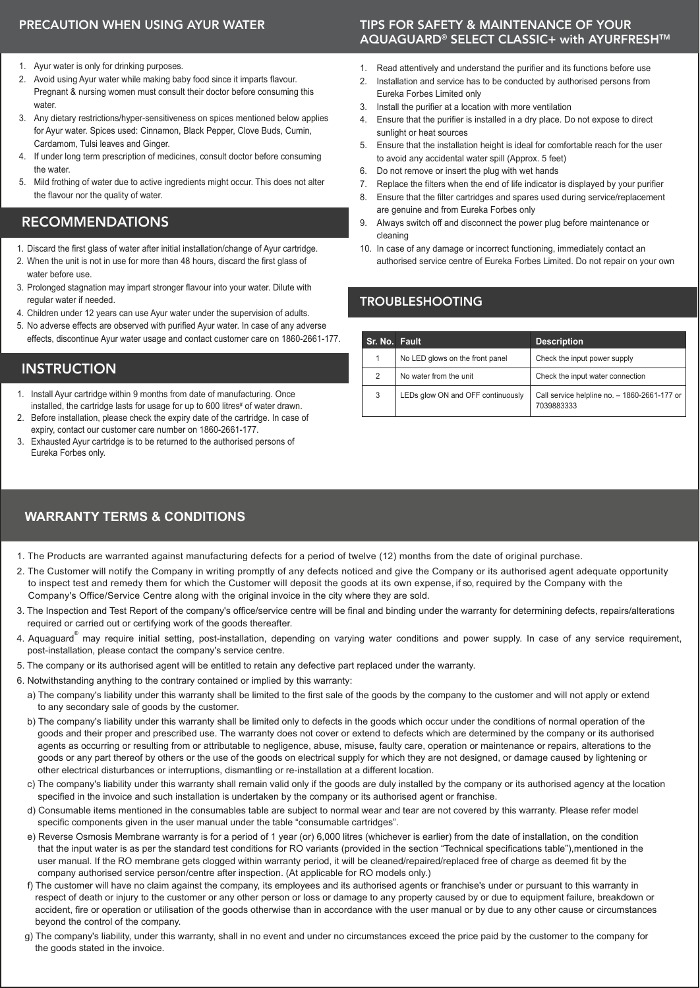# PRECAUTION WHEN USING AYUR WATER

- 1. Ayur water is only for drinking purposes.
- 2. Avoid using Ayur water while making baby food since it imparts flavour. Pregnant & nursing women must consult their doctor before consuming this water
- 3. Any dietary restrictions/hyper-sensitiveness on spices mentioned below applies for Ayur water. Spices used: Cinnamon, Black Pepper, Clove Buds, Cumin, Cardamom, Tulsi leaves and Ginger.
- 4. If under long term prescription of medicines, consult doctor before consuming the water.
- 5. Mild frothing of water due to active ingredients might occur. This does not alter the flavour nor the quality of water.

# RECOMMENDATIONS

- 1. Discard the first glass of water after initial installation/change of Ayur cartridge.
- 2. When the unit is not in use for more than 48 hours, discard the first glass of water before use.
- 3. Prolonged stagnation may impart stronger flavour into your water. Dilute with regular water if needed.
- 4. Children under 12 years can use Ayur water under the supervision of adults.
- 5. No adverse effects are observed with purified Ayur water. In case of any adverse effects, discontinue Ayur water usage and contact customer care on 1860-2661-177.

# **INSTRUCTION**

- 1. Install Ayur cartridge within 9 months from date of manufacturing. Once installed, the cartridge lasts for usage for up to 600 litres# of water drawn.
- 2. Before installation, please check the expiry date of the cartridge. In case of expiry, contact our customer care number on 1860-2661-177.
- 3. Exhausted Ayur cartridge is to be returned to the authorised persons of Eureka Forbes only.

# **WARRANTY TERMS & CONDITIONS**

## TIPS FOR SAFETY & MAINTENANCE OF YOUR AQUAGUARD**®** SELECT CLASSIC+ with AYURFRESHTM

- 1. Read attentively and understand the purifier and its functions before use
- 2. Installation and service has to be conducted by authorised persons from Eureka Forbes Limited only
- 3. Install the purifier at a location with more ventilation
- 4. Ensure that the purifier is installed in a dry place. Do not expose to direct sunlight or heat sources
- 5. Ensure that the installation height is ideal for comfortable reach for the user to avoid any accidental water spill (Approx. 5 feet)
- 6. Do not remove or insert the plug with wet hands
- 7. Replace the filters when the end of life indicator is displayed by your purifier
- 8. Ensure that the filter cartridges and spares used during service/replacement are genuine and from Eureka Forbes only
- 9. Always switch off and disconnect the power plug before maintenance or cleaning
- 10. In case of any damage or incorrect functioning, immediately contact an authorised service centre of Eureka Forbes Limited. Do not repair on your own

# TROUBLESHOOTING

| Sr. No. Fault |                                   | <b>Description</b>                                         |
|---------------|-----------------------------------|------------------------------------------------------------|
|               | No LED glows on the front panel   | Check the input power supply                               |
| 2             | No water from the unit            | Check the input water connection                           |
| 3             | LEDs glow ON and OFF continuously | Call service helpline no. - 1860-2661-177 or<br>7039883333 |

- 1. The Products are warranted against manufacturing defects for a period of twelve (12) months from the date of original purchase.
- 2. The Customer will notify the Company in writing promptly of any defects noticed and give the Company or its authorised agent adequate opportunity to inspect test and remedy them for which the Customer will deposit the goods at its own expense, if so, required by the Company with the Company's Office/Service Centre along with the original invoice in the city where they are sold.
- 3. The Inspection and Test Report of the company's office/service centre will be final and binding under the warranty for determining defects, repairs/alterations required or carried out or certifying work of the goods thereafter.
- 4. Aquaguard<sup>®</sup> may require initial setting, post-installation, depending on varying water conditions and power supply. In case of any service requirement, post-installation, please contact the company's service centre.
- 5. The company or its authorised agent will be entitled to retain any defective part replaced under the warranty.
- 6. Notwithstanding anything to the contrary contained or implied by this warranty:
	- a) The company's liability under this warranty shall be limited to the first sale of the goods by the company to the customer and will not apply or extend to any secondary sale of goods by the customer.
	- b) The company's liability under this warranty shall be limited only to defects in the goods which occur under the conditions of normal operation of the goods and their proper and prescribed use. The warranty does not cover or extend to defects which are determined by the company or its authorised agents as occurring or resulting from or attributable to negligence, abuse, misuse, faulty care, operation or maintenance or repairs, alterations to the goods or any part thereof by others or the use of the goods on electrical supply for which they are not designed, or damage caused by lightening or other electrical disturbances or interruptions, dismantling or re-installation at a different location.
	- c) The company's liability under this warranty shall remain valid only if the goods are duly installed by the company or its authorised agency at the location specified in the invoice and such installation is undertaken by the company or its authorised agent or franchise.
	- d) Consumable items mentioned in the consumables table are subject to normal wear and tear are not covered by this warranty. Please refer model specific components given in the user manual under the table "consumable cartridges".
	- e) Reverse Osmosis Membrane warranty is for a period of 1 year (or) 6,000 litres (whichever is earlier) from the date of installation, on the condition that the input water is as per the standard test conditions for RO variants (provided in the section "Technical specifications table"),mentioned in the user manual. If the RO membrane gets clogged within warranty period, it will be cleaned/repaired/replaced free of charge as deemed fit by the company authorised service person/centre after inspection. (At applicable for RO models only.)
	- f) The customer will have no claim against the company, its employees and its authorised agents or franchise's under or pursuant to this warranty in respect of death or injury to the customer or any other person or loss or damage to any property caused by or due to equipment failure, breakdown or accident, fire or operation or utilisation of the goods otherwise than in accordance with the user manual or by due to any other cause or circumstances beyond the control of the company.
	- g) The company's liability, under this warranty, shall in no event and under no circumstances exceed the price paid by the customer to the company for the goods stated in the invoice.